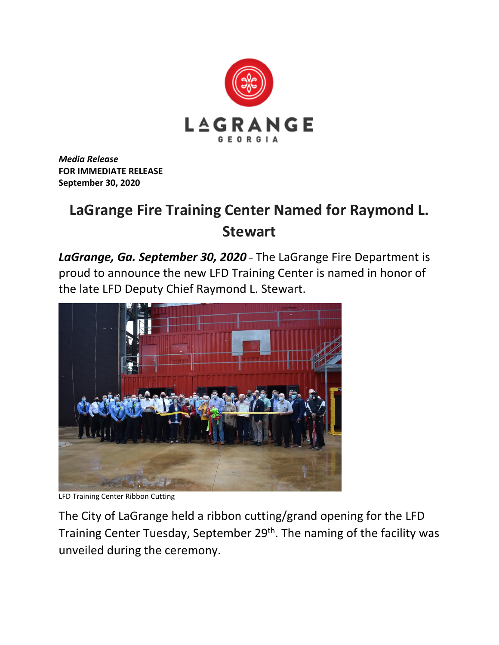

*Media Release* **FOR IMMEDIATE RELEASE September 30, 2020**

## **LaGrange Fire Training Center Named for Raymond L. Stewart**

*LaGrange, Ga. September 30, 2020* – The LaGrange Fire Department is proud to announce the new LFD Training Center is named in honor of the late LFD Deputy Chief Raymond L. Stewart.



LFD Training Center Ribbon Cutting

The City of LaGrange held a ribbon cutting/grand opening for the LFD Training Center Tuesday, September 29<sup>th</sup>. The naming of the facility was unveiled during the ceremony.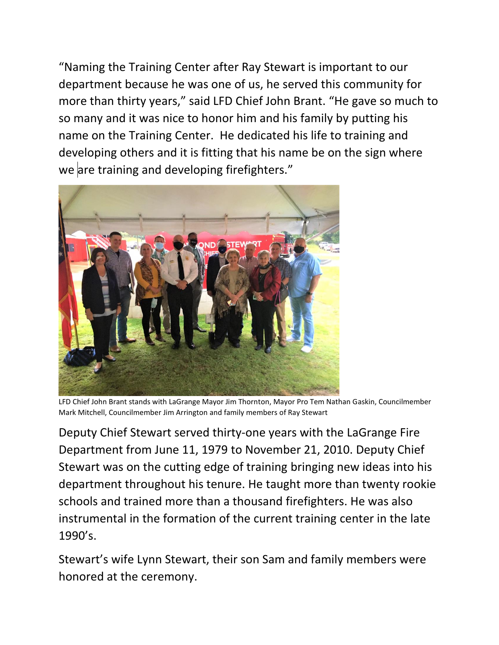"Naming the Training Center after Ray Stewart is important to our department because he was one of us, he served this community for more than thirty years," said LFD Chief John Brant. "He gave so much to so many and it was nice to honor him and his family by putting his name on the Training Center. He dedicated his life to training and developing others and it is fitting that his name be on the sign where we are training and developing firefighters."



LFD Chief John Brant stands with LaGrange Mayor Jim Thornton, Mayor Pro Tem Nathan Gaskin, Councilmember Mark Mitchell, Councilmember Jim Arrington and family members of Ray Stewart

Deputy Chief Stewart served thirty-one years with the LaGrange Fire Department from June 11, 1979 to November 21, 2010. Deputy Chief Stewart was on the cutting edge of training bringing new ideas into his department throughout his tenure. He taught more than twenty rookie schools and trained more than a thousand firefighters. He was also instrumental in the formation of the current training center in the late 1990's.

Stewart's wife Lynn Stewart, their son Sam and family members were honored at the ceremony.